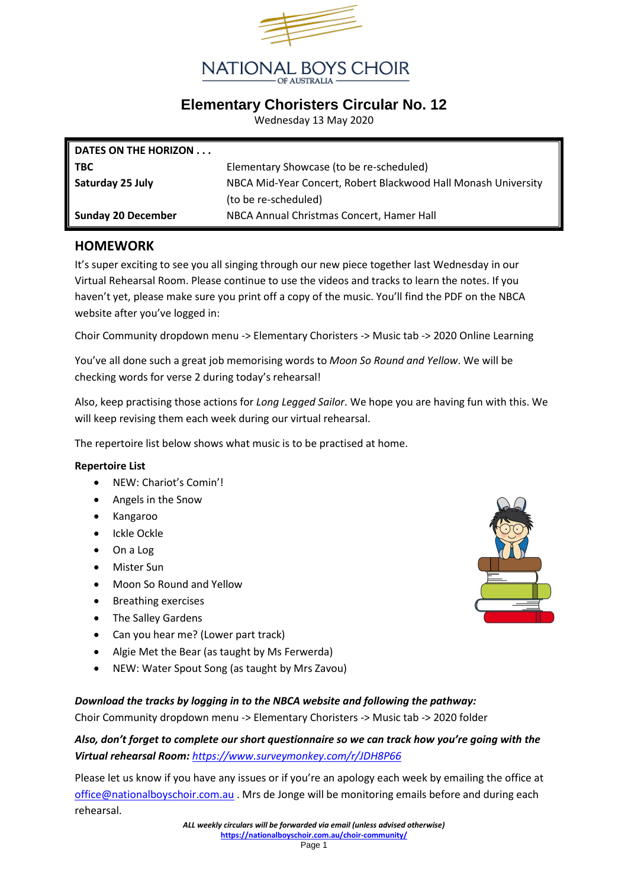

## **Elementary Choristers Circular No. 12**

Wednesday 13 May 2020

| DATES ON THE HORIZON      |                                                                |
|---------------------------|----------------------------------------------------------------|
| <b>TBC</b>                | Elementary Showcase (to be re-scheduled)                       |
| Saturday 25 July          | NBCA Mid-Year Concert, Robert Blackwood Hall Monash University |
|                           | (to be re-scheduled)                                           |
| <b>Sunday 20 December</b> | NBCA Annual Christmas Concert, Hamer Hall                      |

#### **HOMEWORK**

It's super exciting to see you all singing through our new piece together last Wednesday in our Virtual Rehearsal Room. Please continue to use the videos and tracks to learn the notes. If you haven't yet, please make sure you print off a copy of the music. You'll find the PDF on the NBCA website after you've logged in:

Choir Community dropdown menu -> Elementary Choristers -> Music tab -> 2020 Online Learning

You've all done such a great job memorising words to *Moon So Round and Yellow*. We will be checking words for verse 2 during today's rehearsal!

Also, keep practising those actions for *Long Legged Sailor*. We hope you are having fun with this. We will keep revising them each week during our virtual rehearsal.

The repertoire list below shows what music is to be practised at home.

#### **Repertoire List**

- NEW: Chariot's Comin'!
- Angels in the Snow
- Kangaroo
- Ickle Ockle
- On a Log
- Mister Sun
- Moon So Round and Yellow
- Breathing exercises
- The Salley Gardens
- Can you hear me? (Lower part track)
- Algie Met the Bear (as taught by Ms Ferwerda)
- NEW: Water Spout Song (as taught by Mrs Zavou)

#### *Download the tracks by logging in to the NBCA website and following the pathway:*

Choir Community dropdown menu -> Elementary Choristers -> Music tab -> 2020 folder

*Also, don't forget to complete our short questionnaire so we can track how you're going with the Virtual rehearsal Room: <https://www.surveymonkey.com/r/JDH8P66>*

Please let us know if you have any issues or if you're an apology each week by emailing the office at [office@nationalboyschoir.com.au](mailto:office@nationalboyschoir.com.au) . Mrs de Jonge will be monitoring emails before and during each rehearsal.

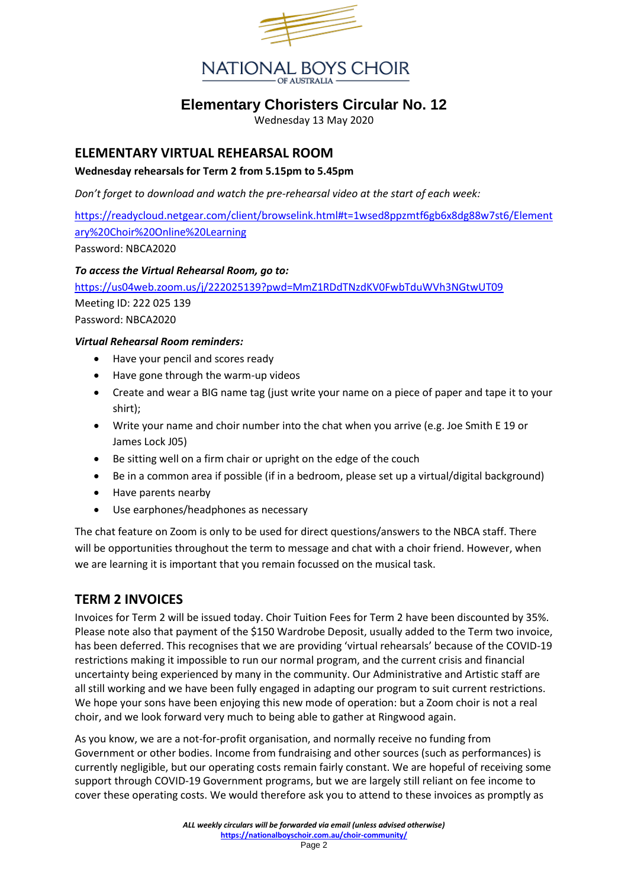

# **Elementary Choristers Circular No. 12**

Wednesday 13 May 2020

### **ELEMENTARY VIRTUAL REHEARSAL ROOM**

#### **Wednesday rehearsals for Term 2 from 5.15pm to 5.45pm**

*Don't forget to download and watch the pre-rehearsal video at the start of each week:*

[https://readycloud.netgear.com/client/browselink.html#t=1wsed8ppzmtf6gb6x8dg88w7st6/Element](https://readycloud.netgear.com/client/browselink.html#t=1wsed8ppzmtf6gb6x8dg88w7st6/Elementary%20Choir%20Online%20Learning) [ary%20Choir%20Online%20Learning](https://readycloud.netgear.com/client/browselink.html#t=1wsed8ppzmtf6gb6x8dg88w7st6/Elementary%20Choir%20Online%20Learning)

Password: NBCA2020

#### *To access the Virtual Rehearsal Room, go to:*

<https://us04web.zoom.us/j/222025139?pwd=MmZ1RDdTNzdKV0FwbTduWVh3NGtwUT09> Meeting ID: 222 025 139 Password: NBCA2020

#### *Virtual Rehearsal Room reminders:*

- Have your pencil and scores ready
- Have gone through the warm-up videos
- Create and wear a BIG name tag (just write your name on a piece of paper and tape it to your shirt);
- Write your name and choir number into the chat when you arrive (e.g. Joe Smith E 19 or James Lock J05)
- Be sitting well on a firm chair or upright on the edge of the couch
- Be in a common area if possible (if in a bedroom, please set up a virtual/digital background)
- Have parents nearby
- Use earphones/headphones as necessary

The chat feature on Zoom is only to be used for direct questions/answers to the NBCA staff. There will be opportunities throughout the term to message and chat with a choir friend. However, when we are learning it is important that you remain focussed on the musical task.

## **TERM 2 INVOICES**

Invoices for Term 2 will be issued today. Choir Tuition Fees for Term 2 have been discounted by 35%. Please note also that payment of the \$150 Wardrobe Deposit, usually added to the Term two invoice, has been deferred. This recognises that we are providing 'virtual rehearsals' because of the COVID-19 restrictions making it impossible to run our normal program, and the current crisis and financial uncertainty being experienced by many in the community. Our Administrative and Artistic staff are all still working and we have been fully engaged in adapting our program to suit current restrictions. We hope your sons have been enjoying this new mode of operation: but a Zoom choir is not a real choir, and we look forward very much to being able to gather at Ringwood again.

As you know, we are a not-for-profit organisation, and normally receive no funding from Government or other bodies. Income from fundraising and other sources (such as performances) is currently negligible, but our operating costs remain fairly constant. We are hopeful of receiving some support through COVID-19 Government programs, but we are largely still reliant on fee income to cover these operating costs. We would therefore ask you to attend to these invoices as promptly as